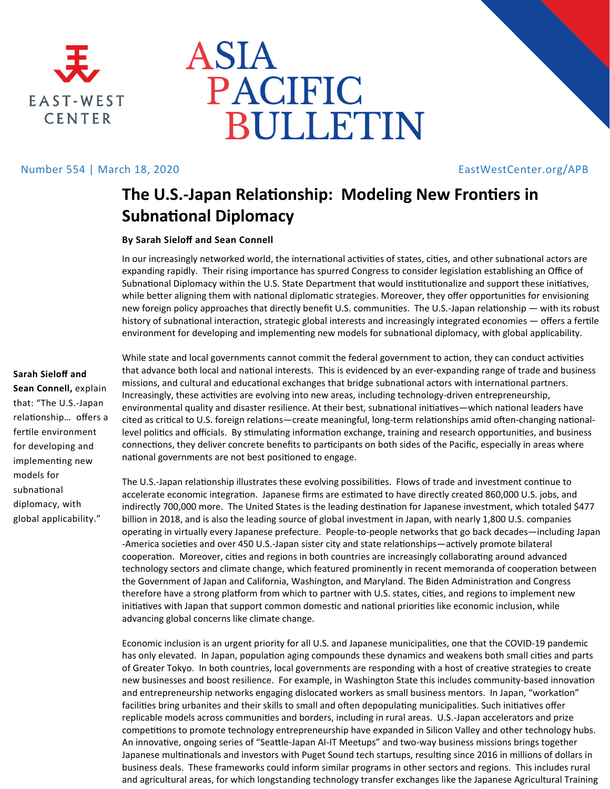



## Number 554 | March 18, 2020 **EastWestCenter.org/APB**

# **The U.S.‐Japan RelaƟonship: Modeling New FronƟers in SubnaƟonal Diplomacy**

### **By Sarah Sieloff and Sean Connell**

In our increasingly networked world, the international activities of states, cities, and other subnational actors are expanding rapidly. Their rising importance has spurred Congress to consider legislation establishing an Office of Subnational Diplomacy within the U.S. State Department that would institutionalize and support these initiatives, while better aligning them with national diplomatic strategies. Moreover, they offer opportunities for envisioning new foreign policy approaches that directly benefit U.S. communities. The U.S.-Japan relationship — with its robust history of subnational interaction, strategic global interests and increasingly integrated economies — offers a fertile environment for developing and implementing new models for subnational diplomacy, with global applicability.

### **Sarah Sieloff and**

**Sean Connell,** explain that: "The U.S.‐Japan relationship... offers a fertile environment for developing and implementing new models for subnaƟonal diplomacy, with global applicability."

While state and local governments cannot commit the federal government to action, they can conduct activities that advance both local and national interests. This is evidenced by an ever-expanding range of trade and business missions, and cultural and educational exchanges that bridge subnational actors with international partners. Increasingly, these activities are evolving into new areas, including technology-driven entrepreneurship, environmental quality and disaster resilience. At their best, subnational initiatives—which national leaders have cited as critical to U.S. foreign relations—create meaningful, long-term relationships amid often-changing nationallevel politics and officials. By stimulating information exchange, training and research opportunities, and business connections, they deliver concrete benefits to participants on both sides of the Pacific, especially in areas where national governments are not best positioned to engage.

The U.S.-Japan relationship illustrates these evolving possibilities. Flows of trade and investment continue to accelerate economic integration. Japanese firms are estimated to have directly created 860,000 U.S. jobs, and indirectly 700,000 more. The United States is the leading destination for Japanese investment, which totaled \$477 billion in 2018, and is also the leading source of global investment in Japan, with nearly 1,800 U.S. companies operating in virtually every Japanese prefecture. People-to-people networks that go back decades—including Japan -America societies and over 450 U.S.-Japan sister city and state relationships—actively promote bilateral cooperation. Moreover, cities and regions in both countries are increasingly collaborating around advanced technology sectors and climate change, which featured prominently in recent memoranda of cooperation between the Government of Japan and California, Washington, and Maryland. The Biden Administration and Congress therefore have a strong platform from which to partner with U.S. states, cities, and regions to implement new initiatives with Japan that support common domestic and national priorities like economic inclusion, while advancing global concerns like climate change.

Economic inclusion is an urgent priority for all U.S. and Japanese municipalities, one that the COVID-19 pandemic has only elevated. In Japan, population aging compounds these dynamics and weakens both small cities and parts of Greater Tokyo. In both countries, local governments are responding with a host of creative strategies to create new businesses and boost resilience. For example, in Washington State this includes community-based innovation and entrepreneurship networks engaging dislocated workers as small business mentors. In Japan, "workation" facilities bring urbanites and their skills to small and often depopulating municipalities. Such initiatives offer replicable models across communities and borders, including in rural areas. U.S.-Japan accelerators and prize competitions to promote technology entrepreneurship have expanded in Silicon Valley and other technology hubs. An innovative, ongoing series of "Seattle-Japan AI-IT Meetups" and two-way business missions brings together Japanese multinationals and investors with Puget Sound tech startups, resulting since 2016 in millions of dollars in business deals. These frameworks could inform similar programs in other sectors and regions. This includes rural and agricultural areas, for which longstanding technology transfer exchanges like the Japanese Agricultural Training